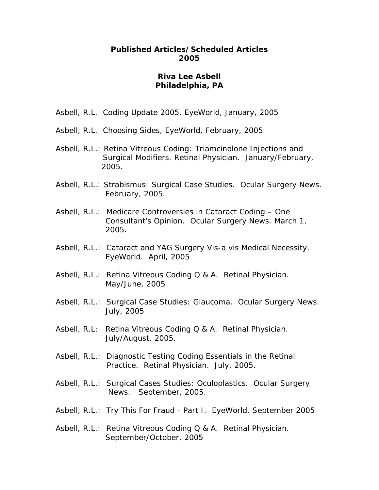## **Published Articles/Scheduled Articles 2005**

## **Riva Lee Asbell Philadelphia, PA**

- Asbell, R.L. Coding Update 2005, EyeWorld, January, 2005
- Asbell, R.L. Choosing Sides, EyeWorld, February, 2005
- Asbell, R.L.: Retina Vitreous Coding: Triamcinolone Injections and Surgical Modifiers. Retinal Physician. January/February, 2005.
- Asbell, R.L.: Strabismus: Surgical Case Studies. Ocular Surgery News. February, 2005.
- Asbell, R.L.: Medicare Controversies in Cataract Coding One Consultant's Opinion. Ocular Surgery News. March 1, 2005.
- Asbell, R.L.: Cataract and YAG Surgery Vis-a vis Medical Necessity. EyeWorld. April, 2005
- Asbell, R.L.: Retina Vitreous Coding Q & A. Retinal Physician. May/June, 2005
- Asbell, R.L.: Surgical Case Studies: Glaucoma. Ocular Surgery News. July, 2005
- Asbell, R.L: Retina Vitreous Coding Q & A. Retinal Physician. July/August, 2005.
- Asbell, R.L.: Diagnostic Testing Coding Essentials in the Retinal Practice. Retinal Physician. July, 2005.
- Asbell, R.L.: Surgical Cases Studies: Oculoplastics. Ocular Surgery News. September, 2005.
- Asbell, R.L.: Try This For Fraud Part I. EyeWorld. September 2005
- Asbell, R.L.: Retina Vitreous Coding Q & A. Retinal Physician. September/October, 2005